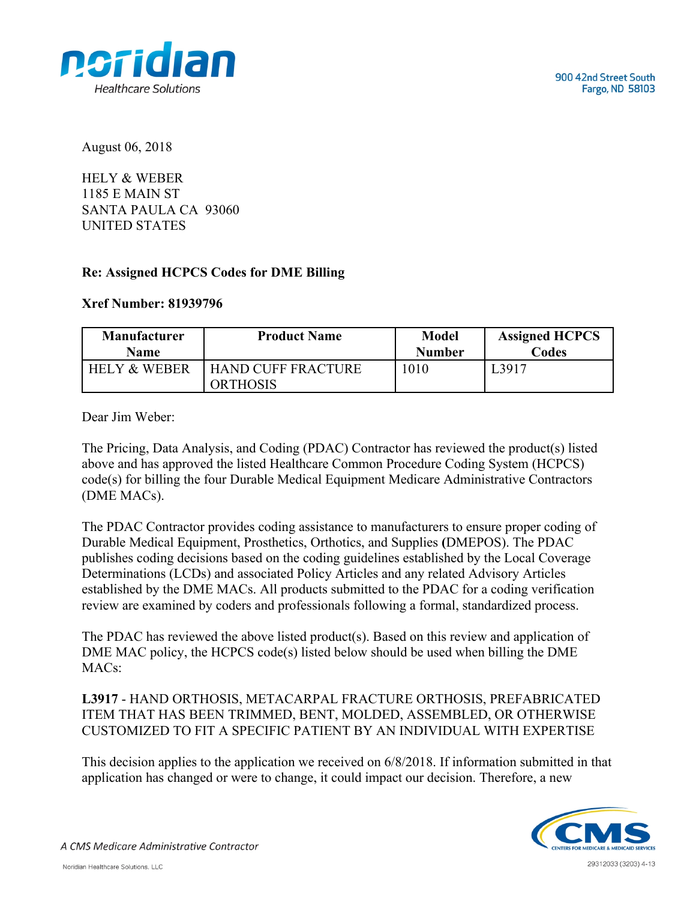

August 06, 2018

HELY & WEBER 1185 E MAIN ST SANTA PAULA CA 93060 UNITED STATES

## **Re: Assigned HCPCS Codes for DME Billing**

## **Xref Number: 81939796**

| <b>Manufacturer</b>     | <b>Product Name</b>                          | <b>Model</b>  | <b>Assigned HCPCS</b> |
|-------------------------|----------------------------------------------|---------------|-----------------------|
| <b>Name</b>             |                                              | <b>Number</b> | Codes                 |
| <b>HELY &amp; WEBER</b> | <b>HAND CUFF FRACTURE</b><br><b>ORTHOSIS</b> | 1010          | ∟3917                 |

Dear Jim Weber:

The Pricing, Data Analysis, and Coding (PDAC) Contractor has reviewed the product(s) listed above and has approved the listed Healthcare Common Procedure Coding System (HCPCS) code(s) for billing the four Durable Medical Equipment Medicare Administrative Contractors (DME MACs).

The PDAC Contractor provides coding assistance to manufacturers to ensure proper coding of Durable Medical Equipment, Prosthetics, Orthotics, and Supplies **(**DMEPOS). The PDAC publishes coding decisions based on the coding guidelines established by the Local Coverage Determinations (LCDs) and associated Policy Articles and any related Advisory Articles established by the DME MACs. All products submitted to the PDAC for a coding verification review are examined by coders and professionals following a formal, standardized process.

The PDAC has reviewed the above listed product(s). Based on this review and application of DME MAC policy, the HCPCS code(s) listed below should be used when billing the DME MACs:

**L3917** - HAND ORTHOSIS, METACARPAL FRACTURE ORTHOSIS, PREFABRICATED ITEM THAT HAS BEEN TRIMMED, BENT, MOLDED, ASSEMBLED, OR OTHERWISE CUSTOMIZED TO FIT A SPECIFIC PATIENT BY AN INDIVIDUAL WITH EXPERTISE

This decision applies to the application we received on 6/8/2018. If information submitted in that application has changed or were to change, it could impact our decision. Therefore, a new



A CMS Medicare Administrative Contractor